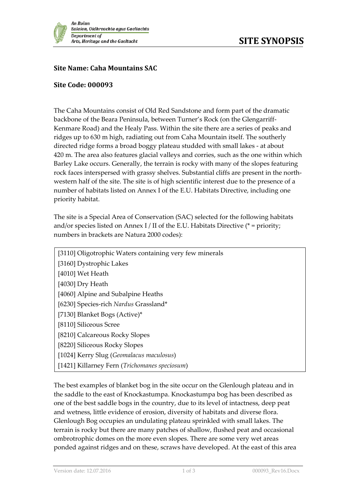

## **Site Name: Caha Mountains SAC**

## **Site Code: 000093**

The Caha Mountains consist of Old Red Sandstone and form part of the dramatic backbone of the Beara Peninsula, between Turner's Rock (on the Glengarriff-Kenmare Road) and the Healy Pass. Within the site there are a series of peaks and ridges up to 630 m high, radiating out from Caha Mountain itself. The southerly directed ridge forms a broad boggy plateau studded with small lakes - at about 420 m. The area also features glacial valleys and corries, such as the one within which Barley Lake occurs. Generally, the terrain is rocky with many of the slopes featuring rock faces interspersed with grassy shelves. Substantial cliffs are present in the northwestern half of the site. The site is of high scientific interest due to the presence of a number of habitats listed on Annex I of the E.U. Habitats Directive, including one priority habitat.

The site is a Special Area of Conservation (SAC) selected for the following habitats and/or species listed on Annex I / II of the E.U. Habitats Directive ( $*$  = priority; numbers in brackets are Natura 2000 codes):

| [3110] Oligotrophic Waters containing very few minerals |
|---------------------------------------------------------|
| [3160] Dystrophic Lakes                                 |
| [4010] Wet Heath                                        |
| [4030] Dry Heath                                        |
| [4060] Alpine and Subalpine Heaths                      |
| [6230] Species-rich Nardus Grassland*                   |
| [7130] Blanket Bogs (Active)*                           |
| [8110] Siliceous Scree                                  |
| [8210] Calcareous Rocky Slopes                          |
| [8220] Siliceous Rocky Slopes                           |
| [1024] Kerry Slug (Geomalacus maculosus)                |
| [1421] Killarney Fern (Trichomanes speciosum)           |

The best examples of blanket bog in the site occur on the Glenlough plateau and in the saddle to the east of Knockastumpa. Knockastumpa bog has been described as one of the best saddle bogs in the country, due to its level of intactness, deep peat and wetness, little evidence of erosion, diversity of habitats and diverse flora. Glenlough Bog occupies an undulating plateau sprinkled with small lakes. The terrain is rocky but there are many patches of shallow, flushed peat and occasional ombrotrophic domes on the more even slopes. There are some very wet areas ponded against ridges and on these, scraws have developed. At the east of this area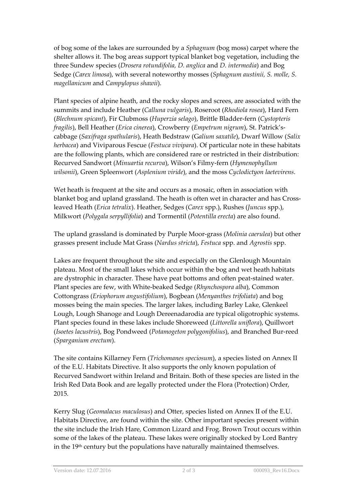of bog some of the lakes are surrounded by a *Sphagnum* (bog moss) carpet where the shelter allows it. The bog areas support typical blanket bog vegetation, including the three Sundew species (*Drosera rotundifolia, D. anglica* and *D. intermedia*) and Bog Sedge (*Carex limosa*), with several noteworthy mosses (*Sphagnum austinii, S. molle, S. magellanicum* and *Campylopus shawii*).

Plant species of alpine heath, and the rocky slopes and screes, are associated with the summits and include Heather (*Calluna vulgaris*), Roseroot (*Rhodiola rosea*), Hard Fern (*Blechnum spicant*), Fir Clubmoss (*Huperzia selago*), Brittle Bladder-fern (*Cystopteris fragilis*), Bell Heather (*Erica cinerea*), Crowberry (*Empetrum nigrum*), St. Patrick'scabbage (*Saxifraga spathularis*), Heath Bedstraw (G*alium saxatile*), Dwarf Willow (*Salix herbacea*) and Viviparous Fescue (*Festuca vivipara*). Of particular note in these habitats are the following plants, which are considered rare or restricted in their distribution: Recurved Sandwort (*Minuartia recurva*), Wilson's Filmy-fern (*Hymenophyllum wilsonii*), Green Spleenwort (*Asplenium viride*), and the moss *Cyclodictyon laetevirens*.

Wet heath is frequent at the site and occurs as a mosaic, often in association with blanket bog and upland grassland. The heath is often wet in character and has Crossleaved Heath (*Erica tetralix*). Heather, Sedges (*Carex* spp.), Rushes (*Juncus* spp.), Milkwort (*Polygala serpyllifolia*) and Tormentil (*Potentilla erecta*) are also found.

The upland grassland is dominated by Purple Moor-grass (*Molinia caerulea*) but other grasses present include Mat Grass (*Nardus stricta*), *Festuca* spp. and *Agrostis* spp.

Lakes are frequent throughout the site and especially on the Glenlough Mountain plateau. Most of the small lakes which occur within the bog and wet heath habitats are dystrophic in character. These have peat bottoms and often peat-stained water. Plant species are few, with White-beaked Sedge (*Rhynchospora alba*), Common Cottongrass (*Eriophorum angustifolium*), Bogbean (*Menyanthes trifoliata*) and bog mosses being the main species. The larger lakes, including Barley Lake, Glenkeel Lough, Lough Shanoge and Lough Dereenadarodia are typical oligotrophic systems. Plant species found in these lakes include Shoreweed (*Littorella uniflora*), Quillwort (*Isoetes lacustris*), Bog Pondweed (*Potamogeton polygonifolius*), and Branched Bur-reed (*Sparganium erectum*).

The site contains Killarney Fern (*Trichomanes speciosum*), a species listed on Annex II of the E.U. Habitats Directive. It also supports the only known population of Recurved Sandwort within Ireland and Britain. Both of these species are listed in the Irish Red Data Book and are legally protected under the Flora (Protection) Order, 2015.

Kerry Slug (*Geomalacus maculosus*) and Otter, species listed on Annex II of the E.U. Habitats Directive, are found within the site. Other important species present within the site include the Irish Hare*,* Common Lizard and Frog. Brown Trout occurs within some of the lakes of the plateau. These lakes were originally stocked by Lord Bantry in the 19<sup>th</sup> century but the populations have naturally maintained themselves.